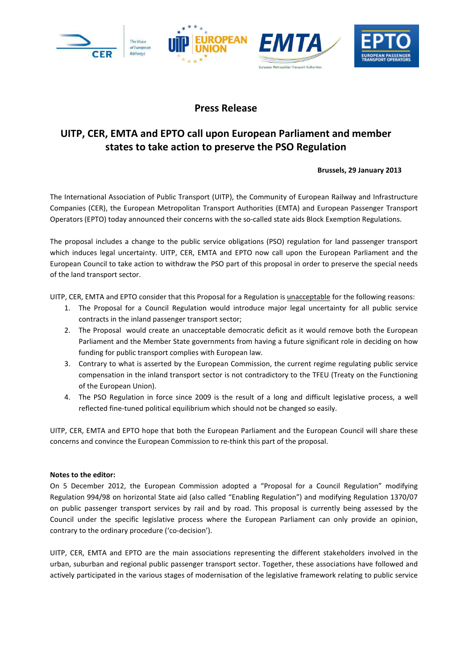

## **Press Release**

# **UITP, CER, EMTA and EPTO call upon European Parliament and member states to take action to preserve the PSO Regulation**

## **Brussels, 29 January 2013**

The International Association of Public Transport (UITP), the Community of European Railway and Infrastructure Companies (CER), the European Metropolitan Transport Authorities (EMTA) and European Passenger Transport Operators (EPTO) today announced their concerns with the so-called state aids Block Exemption Regulations.

The proposal includes a change to the public service obligations (PSO) regulation for land passenger transport which induces legal uncertainty. UITP, CER, EMTA and EPTO now call upon the European Parliament and the European Council to take action to withdraw the PSO part of this proposal in order to preserve the special needs of the land transport sector.

UITP, CER, EMTA and EPTO consider that this Proposal for a Regulation is unacceptable for the following reasons:

- 1. The Proposal for a Council Regulation would introduce major legal uncertainty for all public service contracts in the inland passenger transport sector;
- 2. The Proposal would create an unacceptable democratic deficit as it would remove both the European Parliament and the Member State governments from having a future significant role in deciding on how funding for public transport complies with European law.
- 3. Contrary to what is asserted by the European Commission, the current regime regulating public service compensation in the inland transport sector is not contradictory to the TFEU (Treaty on the Functioning of the European Union).
- 4. The PSO Regulation in force since 2009 is the result of a long and difficult legislative process, a well reflected fine-tuned political equilibrium which should not be changed so easily.

UITP, CER, EMTA and EPTO hope that both the European Parliament and the European Council will share these concerns and convince the European Commission to re-think this part of the proposal.

## **Notes to the editor:**

On 5 December 2012, the European Commission adopted a "Proposal for a Council Regulation" modifying Regulation 994/98 on horizontal State aid (also called "Enabling Regulation") and modifying Regulation 1370/07 on public passenger transport services by rail and by road. This proposal is currently being assessed by the Council under the specific legislative process where the European Parliament can only provide an opinion, contrary to the ordinary procedure ('co-decision').

UITP, CER, EMTA and EPTO are the main associations representing the different stakeholders involved in the urban, suburban and regional public passenger transport sector. Together, these associations have followed and actively participated in the various stages of modernisation of the legislative framework relating to public service